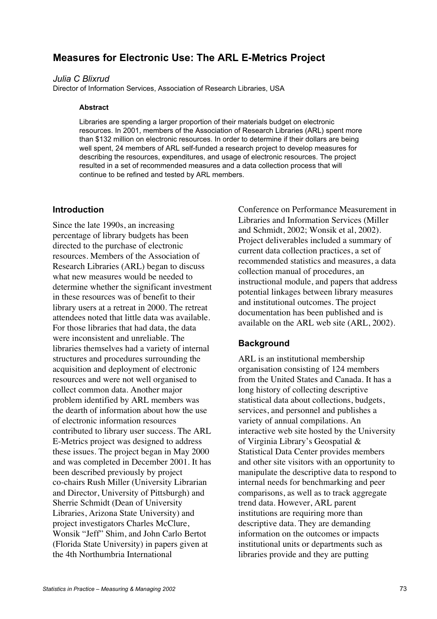# **Measures for Electronic Use: The ARL E-Metrics Project**

### *Julia C Blixrud*

Director of Information Services, Association of Research Libraries, USA

#### **Abstract**

Libraries are spending a larger proportion of their materials budget on electronic resources. In 2001, members of the Association of Research Libraries (ARL) spent more than \$132 million on electronic resources. In order to determine if their dollars are being well spent, 24 members of ARL self-funded a research project to develop measures for describing the resources, expenditures, and usage of electronic resources. The project resulted in a set of recommended measures and a data collection process that will continue to be refined and tested by ARL members.

#### **Introduction**

Since the late 1990s, an increasing percentage of library budgets has been directed to the purchase of electronic resources. Members of the Association of Research Libraries (ARL) began to discuss what new measures would be needed to determine whether the significant investment in these resources was of benefit to their library users at a retreat in 2000. The retreat attendees noted that little data was available. For those libraries that had data, the data were inconsistent and unreliable. The libraries themselves had a variety of internal structures and procedures surrounding the acquisition and deployment of electronic resources and were not well organised to collect common data. Another major problem identified by ARL members was the dearth of information about how the use of electronic information resources contributed to library user success. The ARL E-Metrics project was designed to address these issues. The project began in May 2000 and was completed in December 2001. It has been described previously by project co-chairs Rush Miller (University Librarian and Director, University of Pittsburgh) and Sherrie Schmidt (Dean of University Libraries, Arizona State University) and project investigators Charles McClure, Wonsik "Jeff" Shim, and John Carlo Bertot (Florida State University) in papers given at the 4th Northumbria International

Conference on Performance Measurement in Libraries and Information Services (Miller and Schmidt, 2002; Wonsik et al, 2002). Project deliverables included a summary of current data collection practices, a set of recommended statistics and measures, a data collection manual of procedures, an instructional module, and papers that address potential linkages between library measures and institutional outcomes. The project documentation has been published and is available on the ARL web site (ARL, 2002).

### **Background**

ARL is an institutional membership organisation consisting of 124 members from the United States and Canada. It has a long history of collecting descriptive statistical data about collections, budgets, services, and personnel and publishes a variety of annual compilations. An interactive web site hosted by the University of Virginia Library's Geospatial & Statistical Data Center provides members and other site visitors with an opportunity to manipulate the descriptive data to respond to internal needs for benchmarking and peer comparisons, as well as to track aggregate trend data. However, ARL parent institutions are requiring more than descriptive data. They are demanding information on the outcomes or impacts institutional units or departments such as libraries provide and they are putting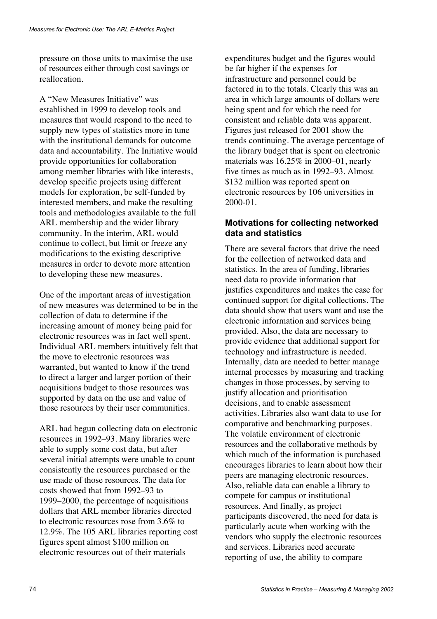pressure on those units to maximise the use of resources either through cost savings or reallocation.

A "New Measures Initiative" was established in 1999 to develop tools and measures that would respond to the need to supply new types of statistics more in tune with the institutional demands for outcome data and accountability. The Initiative would provide opportunities for collaboration among member libraries with like interests, develop specific projects using different models for exploration, be self-funded by interested members, and make the resulting tools and methodologies available to the full ARL membership and the wider library community. In the interim, ARL would continue to collect, but limit or freeze any modifications to the existing descriptive measures in order to devote more attention to developing these new measures.

One of the important areas of investigation of new measures was determined to be in the collection of data to determine if the increasing amount of money being paid for electronic resources was in fact well spent. Individual ARL members intuitively felt that the move to electronic resources was warranted, but wanted to know if the trend to direct a larger and larger portion of their acquisitions budget to those resources was supported by data on the use and value of those resources by their user communities.

ARL had begun collecting data on electronic resources in 1992–93. Many libraries were able to supply some cost data, but after several initial attempts were unable to count consistently the resources purchased or the use made of those resources. The data for costs showed that from 1992–93 to 1999–2000, the percentage of acquisitions dollars that ARL member libraries directed to electronic resources rose from 3.6% to 12.9%. The 105 ARL libraries reporting cost figures spent almost \$100 million on electronic resources out of their materials

expenditures budget and the figures would be far higher if the expenses for infrastructure and personnel could be factored in to the totals. Clearly this was an area in which large amounts of dollars were being spent and for which the need for consistent and reliable data was apparent. Figures just released for 2001 show the trends continuing. The average percentage of the library budget that is spent on electronic materials was 16.25% in 2000–01, nearly five times as much as in 1992–93. Almost \$132 million was reported spent on electronic resources by 106 universities in 2000-01.

## **Motivations for collecting networked data and statistics**

There are several factors that drive the need for the collection of networked data and statistics. In the area of funding, libraries need data to provide information that justifies expenditures and makes the case for continued support for digital collections. The data should show that users want and use the electronic information and services being provided. Also, the data are necessary to provide evidence that additional support for technology and infrastructure is needed. Internally, data are needed to better manage internal processes by measuring and tracking changes in those processes, by serving to justify allocation and prioritisation decisions, and to enable assessment activities. Libraries also want data to use for comparative and benchmarking purposes. The volatile environment of electronic resources and the collaborative methods by which much of the information is purchased encourages libraries to learn about how their peers are managing electronic resources. Also, reliable data can enable a library to compete for campus or institutional resources. And finally, as project participants discovered, the need for data is particularly acute when working with the vendors who supply the electronic resources and services. Libraries need accurate reporting of use, the ability to compare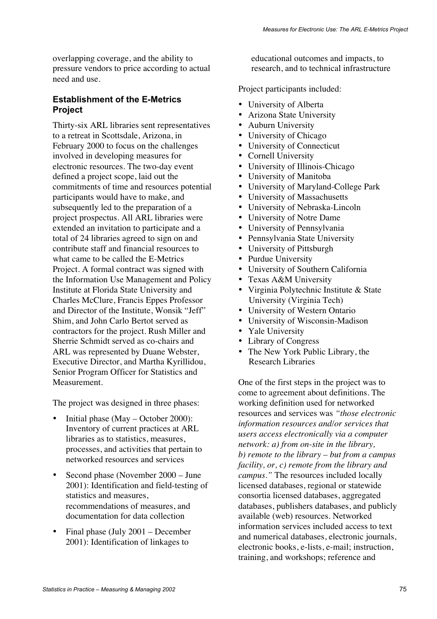overlapping coverage, and the ability to pressure vendors to price according to actual need and use.

## **Establishment of the E-Metrics Project**

Thirty-six ARL libraries sent representatives to a retreat in Scottsdale, Arizona, in February 2000 to focus on the challenges involved in developing measures for electronic resources. The two-day event defined a project scope, laid out the commitments of time and resources potential participants would have to make, and subsequently led to the preparation of a project prospectus. All ARL libraries were extended an invitation to participate and a total of 24 libraries agreed to sign on and contribute staff and financial resources to what came to be called the E-Metrics Project. A formal contract was signed with the Information Use Management and Policy Institute at Florida State University and Charles McClure, Francis Eppes Professor and Director of the Institute, Wonsik "Jeff" Shim, and John Carlo Bertot served as contractors for the project. Rush Miller and Sherrie Schmidt served as co-chairs and ARL was represented by Duane Webster, Executive Director, and Martha Kyrillidou, Senior Program Officer for Statistics and Measurement.

The project was designed in three phases:

- Initial phase (May October 2000): Inventory of current practices at ARL libraries as to statistics, measures, processes, and activities that pertain to networked resources and services
- Second phase (November 2000 June 2001): Identification and field-testing of statistics and measures, recommendations of measures, and documentation for data collection
- Final phase (July 2001 December 2001): Identification of linkages to

educational outcomes and impacts, to research, and to technical infrastructure

Project participants included:

- University of Alberta
- Arizona State University
- Auburn University
- University of Chicago
- University of Connecticut
- Cornell University
- University of Illinois-Chicago
- University of Manitoba
- University of Maryland-College Park
- University of Massachusetts
- University of Nebraska-Lincoln
- University of Notre Dame
- University of Pennsylvania
- Pennsylvania State University
- University of Pittsburgh
- Purdue University
- University of Southern California
- Texas A&M University
- Virginia Polytechnic Institute & State University (Virginia Tech)
- University of Western Ontario
- University of Wisconsin-Madison
- Yale University
- Library of Congress
- The New York Public Library, the Research Libraries

One of the first steps in the project was to come to agreement about definitions. The working definition used for networked resources and services was *"those electronic information resources and/or services that users access electronically via a computer network: a) from on-site in the library, b) remote to the library – but from a campus facility, or, c) remote from the library and campus."* The resources included locally licensed databases, regional or statewide consortia licensed databases, aggregated databases, publishers databases, and publicly available (web) resources. Networked information services included access to text and numerical databases, electronic journals, electronic books, e-lists, e-mail; instruction, training, and workshops; reference and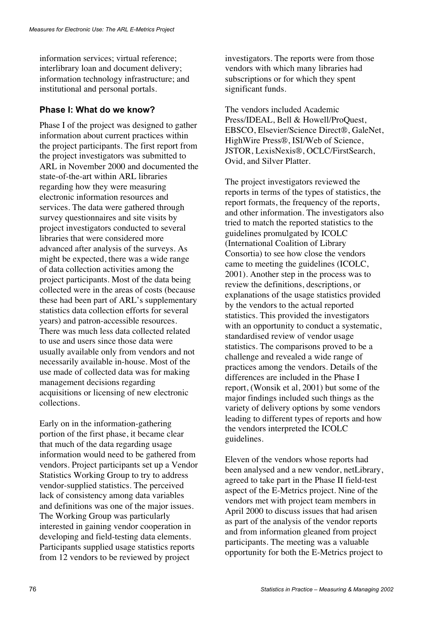information services; virtual reference; interlibrary loan and document delivery; information technology infrastructure; and institutional and personal portals.

## **Phase I: What do we know?**

Phase I of the project was designed to gather information about current practices within the project participants. The first report from the project investigators was submitted to ARL in November 2000 and documented the state-of-the-art within ARL libraries regarding how they were measuring electronic information resources and services. The data were gathered through survey questionnaires and site visits by project investigators conducted to several libraries that were considered more advanced after analysis of the surveys. As might be expected, there was a wide range of data collection activities among the project participants. Most of the data being collected were in the areas of costs (because these had been part of ARL's supplementary statistics data collection efforts for several years) and patron-accessible resources. There was much less data collected related to use and users since those data were usually available only from vendors and not necessarily available in-house. Most of the use made of collected data was for making management decisions regarding acquisitions or licensing of new electronic collections.

Early on in the information-gathering portion of the first phase, it became clear that much of the data regarding usage information would need to be gathered from vendors. Project participants set up a Vendor Statistics Working Group to try to address vendor-supplied statistics. The perceived lack of consistency among data variables and definitions was one of the major issues. The Working Group was particularly interested in gaining vendor cooperation in developing and field-testing data elements. Participants supplied usage statistics reports from 12 vendors to be reviewed by project

investigators. The reports were from those vendors with which many libraries had subscriptions or for which they spent significant funds.

The vendors included Academic Press/IDEAL, Bell & Howell/ProQuest, EBSCO, Elsevier/Science Direct®, GaleNet, HighWire Press®, ISI/Web of Science, JSTOR, LexisNexis®, OCLC/FirstSearch, Ovid, and Silver Platter.

The project investigators reviewed the reports in terms of the types of statistics, the report formats, the frequency of the reports, and other information. The investigators also tried to match the reported statistics to the guidelines promulgated by ICOLC (International Coalition of Library Consortia) to see how close the vendors came to meeting the guidelines (ICOLC, 2001). Another step in the process was to review the definitions, descriptions, or explanations of the usage statistics provided by the vendors to the actual reported statistics. This provided the investigators with an opportunity to conduct a systematic, standardised review of vendor usage statistics. The comparisons proved to be a challenge and revealed a wide range of practices among the vendors. Details of the differences are included in the Phase I report, (Wonsik et al, 2001) but some of the major findings included such things as the variety of delivery options by some vendors leading to different types of reports and how the vendors interpreted the ICOLC guidelines.

Eleven of the vendors whose reports had been analysed and a new vendor, netLibrary, agreed to take part in the Phase II field-test aspect of the E-Metrics project. Nine of the vendors met with project team members in April 2000 to discuss issues that had arisen as part of the analysis of the vendor reports and from information gleaned from project participants. The meeting was a valuable opportunity for both the E-Metrics project to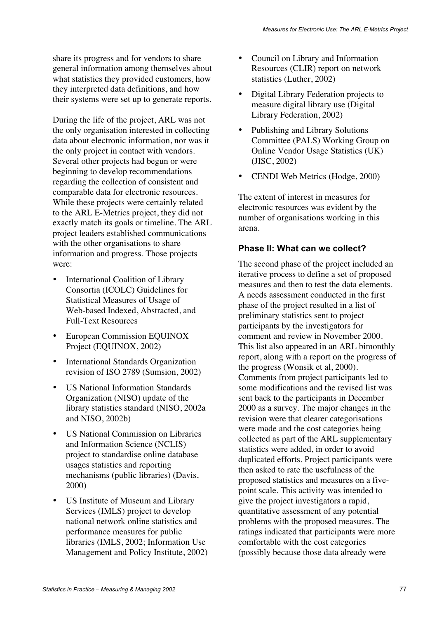share its progress and for vendors to share general information among themselves about what statistics they provided customers, how they interpreted data definitions, and how their systems were set up to generate reports.

During the life of the project, ARL was not the only organisation interested in collecting data about electronic information, nor was it the only project in contact with vendors. Several other projects had begun or were beginning to develop recommendations regarding the collection of consistent and comparable data for electronic resources. While these projects were certainly related to the ARL E-Metrics project, they did not exactly match its goals or timeline. The ARL project leaders established communications with the other organisations to share information and progress. Those projects were:

- International Coalition of Library Consortia (ICOLC) Guidelines for Statistical Measures of Usage of Web-based Indexed, Abstracted, and Full-Text Resources
- European Commission EQUINOX Project (EQUINOX, 2002)
- International Standards Organization revision of ISO 2789 (Sumsion, 2002)
- US National Information Standards Organization (NISO) update of the library statistics standard (NISO, 2002a and NISO, 2002b)
- US National Commission on Libraries and Information Science (NCLIS) project to standardise online database usages statistics and reporting mechanisms (public libraries) (Davis, 2000)
- US Institute of Museum and Library Services (IMLS) project to develop national network online statistics and performance measures for public libraries (IMLS, 2002; Information Use Management and Policy Institute, 2002)
- Council on Library and Information Resources (CLIR) report on network statistics (Luther, 2002)
- Digital Library Federation projects to measure digital library use (Digital Library Federation, 2002)
- Publishing and Library Solutions Committee (PALS) Working Group on Online Vendor Usage Statistics (UK) (JISC, 2002)
- CENDI Web Metrics (Hodge, 2000)

The extent of interest in measures for electronic resources was evident by the number of organisations working in this arena.

# **Phase II: What can we collect?**

The second phase of the project included an iterative process to define a set of proposed measures and then to test the data elements. A needs assessment conducted in the first phase of the project resulted in a list of preliminary statistics sent to project participants by the investigators for comment and review in November 2000. This list also appeared in an ARL bimonthly report, along with a report on the progress of the progress (Wonsik et al, 2000). Comments from project participants led to some modifications and the revised list was sent back to the participants in December 2000 as a survey. The major changes in the revision were that clearer categorisations were made and the cost categories being collected as part of the ARL supplementary statistics were added, in order to avoid duplicated efforts. Project participants were then asked to rate the usefulness of the proposed statistics and measures on a fivepoint scale. This activity was intended to give the project investigators a rapid, quantitative assessment of any potential problems with the proposed measures. The ratings indicated that participants were more comfortable with the cost categories (possibly because those data already were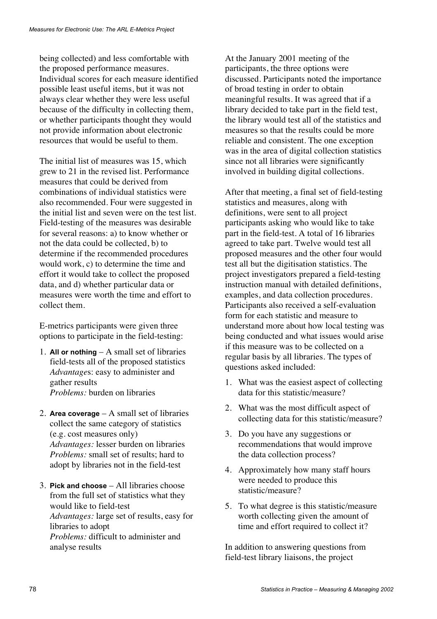being collected) and less comfortable with the proposed performance measures. Individual scores for each measure identified possible least useful items, but it was not always clear whether they were less useful because of the difficulty in collecting them, or whether participants thought they would not provide information about electronic resources that would be useful to them.

The initial list of measures was 15, which grew to 21 in the revised list. Performance measures that could be derived from combinations of individual statistics were also recommended. Four were suggested in the initial list and seven were on the test list. Field-testing of the measures was desirable for several reasons: a) to know whether or not the data could be collected, b) to determine if the recommended procedures would work, c) to determine the time and effort it would take to collect the proposed data, and d) whether particular data or measures were worth the time and effort to collect them.

E-metrics participants were given three options to participate in the field-testing:

- 1. **All or nothing** A small set of libraries field-tests all of the proposed statistics *Advantage*s: easy to administer and gather results *Problems:* burden on libraries
- 2. **Area coverage** A small set of libraries collect the same category of statistics (e.g. cost measures only) *Advantages:* lesser burden on libraries *Problems:* small set of results; hard to adopt by libraries not in the field-test
- 3. **Pick and choose** All libraries choose from the full set of statistics what they would like to field-test *Advantages:* large set of results, easy for libraries to adopt *Problems:* difficult to administer and analyse results

At the January 2001 meeting of the participants, the three options were discussed. Participants noted the importance of broad testing in order to obtain meaningful results. It was agreed that if a library decided to take part in the field test, the library would test all of the statistics and measures so that the results could be more reliable and consistent. The one exception was in the area of digital collection statistics since not all libraries were significantly involved in building digital collections.

After that meeting, a final set of field-testing statistics and measures, along with definitions, were sent to all project participants asking who would like to take part in the field-test. A total of 16 libraries agreed to take part. Twelve would test all proposed measures and the other four would test all but the digitisation statistics. The project investigators prepared a field-testing instruction manual with detailed definitions, examples, and data collection procedures. Participants also received a self-evaluation form for each statistic and measure to understand more about how local testing was being conducted and what issues would arise if this measure was to be collected on a regular basis by all libraries. The types of questions asked included:

- 1. What was the easiest aspect of collecting data for this statistic/measure?
- 2. What was the most difficult aspect of collecting data for this statistic/measure?
- 3. Do you have any suggestions or recommendations that would improve the data collection process?
- 4. Approximately how many staff hours were needed to produce this statistic/measure?
- 5. To what degree is this statistic/measure worth collecting given the amount of time and effort required to collect it?

In addition to answering questions from field-test library liaisons, the project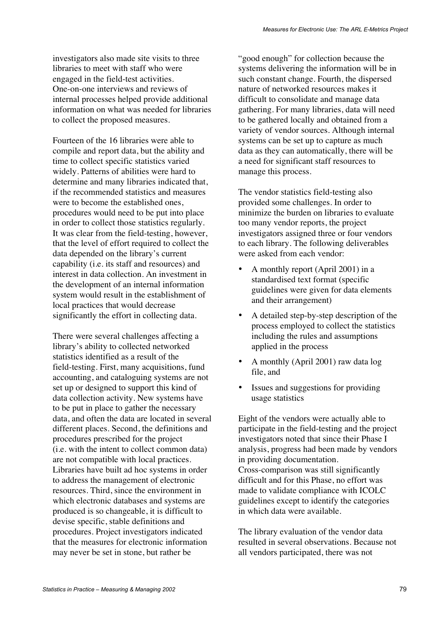investigators also made site visits to three libraries to meet with staff who were engaged in the field-test activities. One-on-one interviews and reviews of internal processes helped provide additional information on what was needed for libraries to collect the proposed measures.

Fourteen of the 16 libraries were able to compile and report data, but the ability and time to collect specific statistics varied widely. Patterns of abilities were hard to determine and many libraries indicated that, if the recommended statistics and measures were to become the established ones, procedures would need to be put into place in order to collect those statistics regularly. It was clear from the field-testing, however, that the level of effort required to collect the data depended on the library's current capability (i.e. its staff and resources) and interest in data collection. An investment in the development of an internal information system would result in the establishment of local practices that would decrease significantly the effort in collecting data.

There were several challenges affecting a library's ability to collected networked statistics identified as a result of the field-testing. First, many acquisitions, fund accounting, and cataloguing systems are not set up or designed to support this kind of data collection activity. New systems have to be put in place to gather the necessary data, and often the data are located in several different places. Second, the definitions and procedures prescribed for the project (i.e. with the intent to collect common data) are not compatible with local practices. Libraries have built ad hoc systems in order to address the management of electronic resources. Third, since the environment in which electronic databases and systems are produced is so changeable, it is difficult to devise specific, stable definitions and procedures. Project investigators indicated that the measures for electronic information may never be set in stone, but rather be

"good enough" for collection because the systems delivering the information will be in such constant change. Fourth, the dispersed nature of networked resources makes it difficult to consolidate and manage data gathering. For many libraries, data will need to be gathered locally and obtained from a variety of vendor sources. Although internal systems can be set up to capture as much data as they can automatically, there will be a need for significant staff resources to manage this process.

The vendor statistics field-testing also provided some challenges. In order to minimize the burden on libraries to evaluate too many vendor reports, the project investigators assigned three or four vendors to each library. The following deliverables were asked from each vendor:

- A monthly report (April 2001) in a standardised text format (specific guidelines were given for data elements and their arrangement)
- A detailed step-by-step description of the process employed to collect the statistics including the rules and assumptions applied in the process
- A monthly (April 2001) raw data log file, and
- Issues and suggestions for providing usage statistics

Eight of the vendors were actually able to participate in the field-testing and the project investigators noted that since their Phase I analysis, progress had been made by vendors in providing documentation. Cross-comparison was still significantly difficult and for this Phase, no effort was made to validate compliance with ICOLC guidelines except to identify the categories in which data were available.

The library evaluation of the vendor data resulted in several observations. Because not all vendors participated, there was not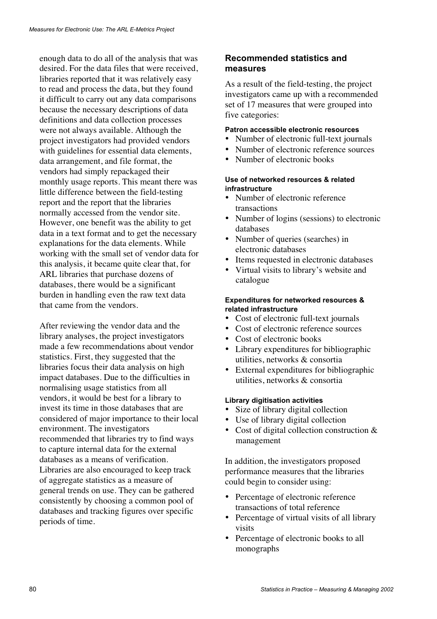enough data to do all of the analysis that was desired. For the data files that were received, libraries reported that it was relatively easy to read and process the data, but they found it difficult to carry out any data comparisons because the necessary descriptions of data definitions and data collection processes were not always available. Although the project investigators had provided vendors with guidelines for essential data elements, data arrangement, and file format, the vendors had simply repackaged their monthly usage reports. This meant there was little difference between the field-testing report and the report that the libraries normally accessed from the vendor site. However, one benefit was the ability to get data in a text format and to get the necessary explanations for the data elements. While working with the small set of vendor data for this analysis, it became quite clear that, for ARL libraries that purchase dozens of databases, there would be a significant burden in handling even the raw text data that came from the vendors.

After reviewing the vendor data and the library analyses, the project investigators made a few recommendations about vendor statistics. First, they suggested that the libraries focus their data analysis on high impact databases. Due to the difficulties in normalising usage statistics from all vendors, it would be best for a library to invest its time in those databases that are considered of major importance to their local environment. The investigators recommended that libraries try to find ways to capture internal data for the external databases as a means of verification. Libraries are also encouraged to keep track of aggregate statistics as a measure of general trends on use. They can be gathered consistently by choosing a common pool of databases and tracking figures over specific periods of time.

## **Recommended statistics and measures**

As a result of the field-testing, the project investigators came up with a recommended set of 17 measures that were grouped into five categories:

#### **Patron accessible electronic resources**

- Number of electronic full-text journals
- Number of electronic reference sources
- Number of electronic books

#### **Use of networked resources & related infrastructure**

- Number of electronic reference transactions
- Number of logins (sessions) to electronic databases
- Number of queries (searches) in electronic databases
- Items requested in electronic databases
- Virtual visits to library's website and catalogue

#### **Expenditures for networked resources & related infrastructure**

- Cost of electronic full-text journals
- Cost of electronic reference sources
- Cost of electronic books
- Library expenditures for bibliographic utilities, networks & consortia
- External expenditures for bibliographic utilities, networks & consortia

#### **Library digitisation activities**

- Size of library digital collection
- Use of library digital collection
- Cost of digital collection construction & management

In addition, the investigators proposed performance measures that the libraries could begin to consider using:

- Percentage of electronic reference transactions of total reference
- Percentage of virtual visits of all library visits
- Percentage of electronic books to all monographs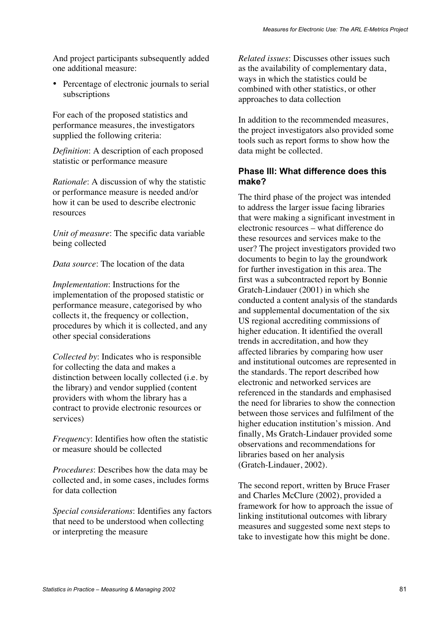And project participants subsequently added one additional measure:

• Percentage of electronic journals to serial subscriptions

For each of the proposed statistics and performance measures, the investigators supplied the following criteria:

*Definition*: A description of each proposed statistic or performance measure

*Rationale*: A discussion of why the statistic or performance measure is needed and/or how it can be used to describe electronic resources

*Unit of measure*: The specific data variable being collected

*Data source*: The location of the data

*Implementation*: Instructions for the implementation of the proposed statistic or performance measure, categorised by who collects it, the frequency or collection, procedures by which it is collected, and any other special considerations

*Collected by*: Indicates who is responsible for collecting the data and makes a distinction between locally collected (i.e. by the library) and vendor supplied (content providers with whom the library has a contract to provide electronic resources or services)

*Frequency*: Identifies how often the statistic or measure should be collected

*Procedures*: Describes how the data may be collected and, in some cases, includes forms for data collection

*Special considerations*: Identifies any factors that need to be understood when collecting or interpreting the measure

*Related issues*: Discusses other issues such as the availability of complementary data, ways in which the statistics could be combined with other statistics, or other approaches to data collection

In addition to the recommended measures, the project investigators also provided some tools such as report forms to show how the data might be collected.

### **Phase III: What difference does this make?**

The third phase of the project was intended to address the larger issue facing libraries that were making a significant investment in electronic resources – what difference do these resources and services make to the user? The project investigators provided two documents to begin to lay the groundwork for further investigation in this area. The first was a subcontracted report by Bonnie Gratch-Lindauer (2001) in which she conducted a content analysis of the standards and supplemental documentation of the six US regional accrediting commissions of higher education. It identified the overall trends in accreditation, and how they affected libraries by comparing how user and institutional outcomes are represented in the standards. The report described how electronic and networked services are referenced in the standards and emphasised the need for libraries to show the connection between those services and fulfilment of the higher education institution's mission. And finally, Ms Gratch-Lindauer provided some observations and recommendations for libraries based on her analysis (Gratch-Lindauer, 2002).

The second report, written by Bruce Fraser and Charles McClure (2002), provided a framework for how to approach the issue of linking institutional outcomes with library measures and suggested some next steps to take to investigate how this might be done.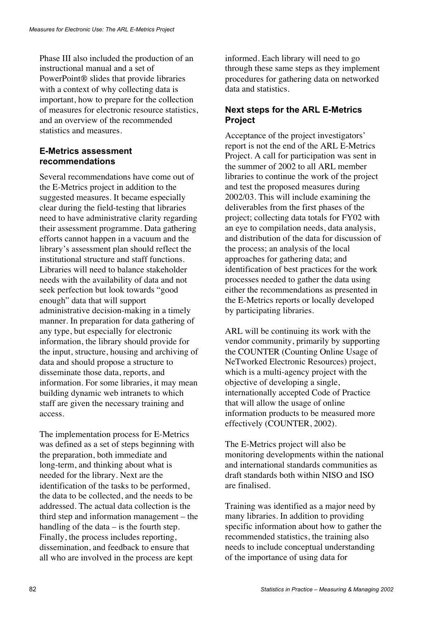Phase III also included the production of an instructional manual and a set of PowerPoint<sup>®</sup> slides that provide libraries with a context of why collecting data is important, how to prepare for the collection of measures for electronic resource statistics, and an overview of the recommended statistics and measures.

## **E-Metrics assessment recommendations**

Several recommendations have come out of the E-Metrics project in addition to the suggested measures. It became especially clear during the field-testing that libraries need to have administrative clarity regarding their assessment programme. Data gathering efforts cannot happen in a vacuum and the library's assessment plan should reflect the institutional structure and staff functions. Libraries will need to balance stakeholder needs with the availability of data and not seek perfection but look towards "good enough" data that will support administrative decision-making in a timely manner. In preparation for data gathering of any type, but especially for electronic information, the library should provide for the input, structure, housing and archiving of data and should propose a structure to disseminate those data, reports, and information. For some libraries, it may mean building dynamic web intranets to which staff are given the necessary training and access.

The implementation process for E-Metrics was defined as a set of steps beginning with the preparation, both immediate and long-term, and thinking about what is needed for the library. Next are the identification of the tasks to be performed, the data to be collected, and the needs to be addressed. The actual data collection is the third step and information management – the handling of the data – is the fourth step. Finally, the process includes reporting, dissemination, and feedback to ensure that all who are involved in the process are kept

informed. Each library will need to go through these same steps as they implement procedures for gathering data on networked data and statistics.

## **Next steps for the ARL E-Metrics Project**

Acceptance of the project investigators' report is not the end of the ARL E-Metrics Project. A call for participation was sent in the summer of 2002 to all ARL member libraries to continue the work of the project and test the proposed measures during 2002/03. This will include examining the deliverables from the first phases of the project; collecting data totals for FY02 with an eye to compilation needs, data analysis, and distribution of the data for discussion of the process; an analysis of the local approaches for gathering data; and identification of best practices for the work processes needed to gather the data using either the recommendations as presented in the E-Metrics reports or locally developed by participating libraries.

ARL will be continuing its work with the vendor community, primarily by supporting the COUNTER (Counting Online Usage of NeTworked Electronic Resources) project, which is a multi-agency project with the objective of developing a single, internationally accepted Code of Practice that will allow the usage of online information products to be measured more effectively (COUNTER, 2002).

The E-Metrics project will also be monitoring developments within the national and international standards communities as draft standards both within NISO and ISO are finalised.

Training was identified as a major need by many libraries. In addition to providing specific information about how to gather the recommended statistics, the training also needs to include conceptual understanding of the importance of using data for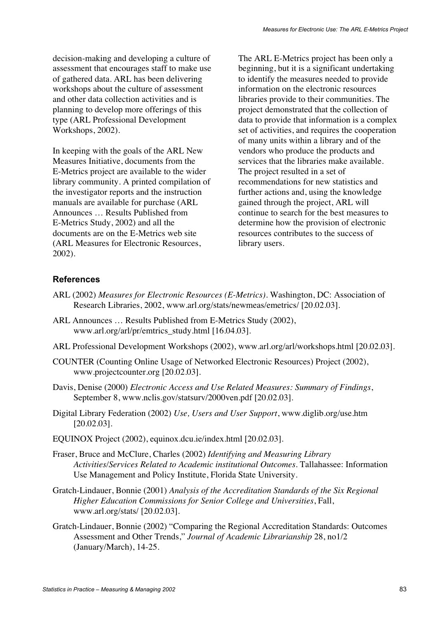decision-making and developing a culture of assessment that encourages staff to make use of gathered data. ARL has been delivering workshops about the culture of assessment and other data collection activities and is planning to develop more offerings of this type (ARL Professional Development Workshops, 2002).

In keeping with the goals of the ARL New Measures Initiative, documents from the E-Metrics project are available to the wider library community. A printed compilation of the investigator reports and the instruction manuals are available for purchase (ARL Announces … Results Published from E-Metrics Study, 2002) and all the documents are on the E-Metrics web site (ARL Measures for Electronic Resources, 2002).

The ARL E-Metrics project has been only a beginning, but it is a significant undertaking to identify the measures needed to provide information on the electronic resources libraries provide to their communities. The project demonstrated that the collection of data to provide that information is a complex set of activities, and requires the cooperation of many units within a library and of the vendors who produce the products and services that the libraries make available. The project resulted in a set of recommendations for new statistics and further actions and, using the knowledge gained through the project, ARL will continue to search for the best measures to determine how the provision of electronic resources contributes to the success of library users.

## **References**

- ARL (2002) *Measures for Electronic Resources (E-Metrics).* Washington, DC: Association of Research Libraries, 2002, www.arl.org/stats/newmeas/emetrics/ [20.02.03].
- ARL Announces … Results Published from E-Metrics Study (2002), www.arl.org/arl/pr/emtrics\_study.html [16.04.03].
- ARL Professional Development Workshops (2002), www.arl.org/arl/workshops.html [20.02.03].
- COUNTER (Counting Online Usage of Networked Electronic Resources) Project (2002), www.projectcounter.org [20.02.03].
- Davis, Denise (2000) *Electronic Access and Use Related Measures: Summary of Findings*, September 8, www.nclis.gov/statsurv/2000ven.pdf [20.02.03].
- Digital Library Federation (2002) *Use, Users and User Support*, www.diglib.org/use.htm [20.02.03].
- EQUINOX Project (2002), equinox.dcu.ie/index.html [20.02.03].
- Fraser, Bruce and McClure, Charles (2002) *Identifying and Measuring Library Activities/Services Related to Academic institutional Outcomes*. Tallahassee: Information Use Management and Policy Institute, Florida State University.
- Gratch-Lindauer, Bonnie (2001) *Analysis of the Accreditation Standards of the Six Regional Higher Education Commissions for Senior College and Universities*, Fall, www.arl.org/stats/ [20.02.03].
- Gratch-Lindauer, Bonnie (2002) "Comparing the Regional Accreditation Standards: Outcomes Assessment and Other Trends," *Journal of Academic Librarianship* 28, no1/2 (January/March), 14-25.